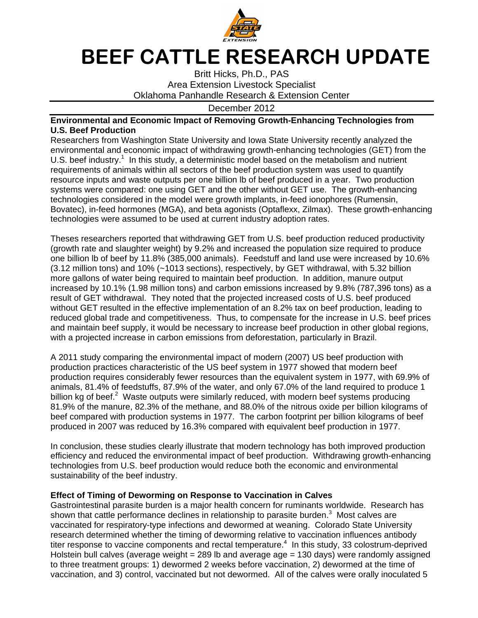

## BEEF CATTLE RESEARCH UPDATE

Britt Hicks, Ph.D., PAS Area Extension Livestock Specialist Oklahoma Panhandle Research & Extension Center

December 2012

## **Environmental and Economic Impact of Removing Growth-Enhancing Technologies from U.S. Beef Production**

Researchers from Washington State University and Iowa State University recently analyzed the environmental and economic impact of withdrawing growth-enhancing technologies (GET) from the U.S. beef industry.<sup>1</sup> In this study, a deterministic model based on the metabolism and nutrient requirements of animals within all sectors of the beef production system was used to quantify resource inputs and waste outputs per one billion lb of beef produced in a year. Two production systems were compared: one using GET and the other without GET use. The growth-enhancing technologies considered in the model were growth implants, in-feed ionophores (Rumensin, Bovatec), in-feed hormones (MGA), and beta agonists (Optaflexx, Zilmax). These growth-enhancing technologies were assumed to be used at current industry adoption rates.

Theses researchers reported that withdrawing GET from U.S. beef production reduced productivity (growth rate and slaughter weight) by 9.2% and increased the population size required to produce one billion lb of beef by 11.8% (385,000 animals). Feedstuff and land use were increased by 10.6% (3.12 million tons) and 10% (~1013 sections), respectively, by GET withdrawal, with 5.32 billion more gallons of water being required to maintain beef production. In addition, manure output increased by 10.1% (1.98 million tons) and carbon emissions increased by 9.8% (787,396 tons) as a result of GET withdrawal. They noted that the projected increased costs of U.S. beef produced without GET resulted in the effective implementation of an 8.2% tax on beef production, leading to reduced global trade and competitiveness. Thus, to compensate for the increase in U.S. beef prices and maintain beef supply, it would be necessary to increase beef production in other global regions, with a projected increase in carbon emissions from deforestation, particularly in Brazil.

A 2011 study comparing the environmental impact of modern (2007) US beef production with production practices characteristic of the US beef system in 1977 showed that modern beef production requires considerably fewer resources than the equivalent system in 1977, with 69.9% of animals, 81.4% of feedstuffs, 87.9% of the water, and only 67.0% of the land required to produce 1 billion kg of beef.<sup>2</sup> Waste outputs were similarly reduced, with modern beef systems producing 81.9% of the manure, 82.3% of the methane, and 88.0% of the nitrous oxide per billion kilograms of beef compared with production systems in 1977. The carbon footprint per billion kilograms of beef produced in 2007 was reduced by 16.3% compared with equivalent beef production in 1977.

In conclusion, these studies clearly illustrate that modern technology has both improved production efficiency and reduced the environmental impact of beef production. Withdrawing growth-enhancing technologies from U.S. beef production would reduce both the economic and environmental sustainability of the beef industry.

## **Effect of Timing of Deworming on Response to Vaccination in Calves**

Gastrointestinal parasite burden is a major health concern for ruminants worldwide. Research has shown that cattle performance declines in relationship to parasite burden.<sup>3</sup> Most calves are vaccinated for respiratory-type infections and dewormed at weaning. Colorado State University research determined whether the timing of deworming relative to vaccination influences antibody titer response to vaccine components and rectal temperature. $4\,$  In this study, 33 colostrum-deprived Holstein bull calves (average weight  $= 289$  lb and average age  $= 130$  days) were randomly assigned to three treatment groups: 1) dewormed 2 weeks before vaccination, 2) dewormed at the time of vaccination, and 3) control, vaccinated but not dewormed. All of the calves were orally inoculated 5